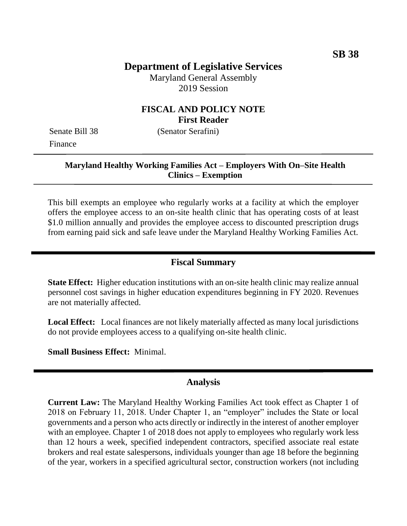# **Department of Legislative Services**

Maryland General Assembly 2019 Session

### **FISCAL AND POLICY NOTE First Reader**

Senate Bill 38 (Senator Serafini) Finance

## **Maryland Healthy Working Families Act – Employers With On–Site Health Clinics – Exemption**

This bill exempts an employee who regularly works at a facility at which the employer offers the employee access to an on-site health clinic that has operating costs of at least \$1.0 million annually and provides the employee access to discounted prescription drugs from earning paid sick and safe leave under the Maryland Healthy Working Families Act.

#### **Fiscal Summary**

**State Effect:** Higher education institutions with an on-site health clinic may realize annual personnel cost savings in higher education expenditures beginning in FY 2020. Revenues are not materially affected.

**Local Effect:** Local finances are not likely materially affected as many local jurisdictions do not provide employees access to a qualifying on-site health clinic.

**Small Business Effect:** Minimal.

#### **Analysis**

**Current Law:** The Maryland Healthy Working Families Act took effect as Chapter 1 of 2018 on February 11, 2018. Under Chapter 1, an "employer" includes the State or local governments and a person who acts directly or indirectly in the interest of another employer with an employee. Chapter 1 of 2018 does not apply to employees who regularly work less than 12 hours a week, specified independent contractors, specified associate real estate brokers and real estate salespersons, individuals younger than age 18 before the beginning of the year, workers in a specified agricultural sector, construction workers (not including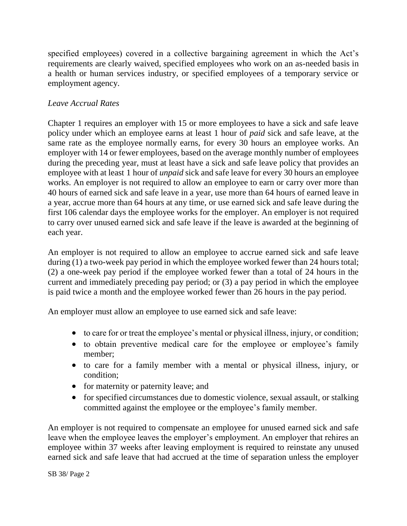specified employees) covered in a collective bargaining agreement in which the Act's requirements are clearly waived, specified employees who work on an as-needed basis in a health or human services industry, or specified employees of a temporary service or employment agency.

### *Leave Accrual Rates*

Chapter 1 requires an employer with 15 or more employees to have a sick and safe leave policy under which an employee earns at least 1 hour of *paid* sick and safe leave, at the same rate as the employee normally earns, for every 30 hours an employee works. An employer with 14 or fewer employees, based on the average monthly number of employees during the preceding year, must at least have a sick and safe leave policy that provides an employee with at least 1 hour of *unpaid* sick and safe leave for every 30 hours an employee works. An employer is not required to allow an employee to earn or carry over more than 40 hours of earned sick and safe leave in a year, use more than 64 hours of earned leave in a year, accrue more than 64 hours at any time, or use earned sick and safe leave during the first 106 calendar days the employee works for the employer. An employer is not required to carry over unused earned sick and safe leave if the leave is awarded at the beginning of each year.

An employer is not required to allow an employee to accrue earned sick and safe leave during (1) a two-week pay period in which the employee worked fewer than 24 hours total; (2) a one-week pay period if the employee worked fewer than a total of 24 hours in the current and immediately preceding pay period; or (3) a pay period in which the employee is paid twice a month and the employee worked fewer than 26 hours in the pay period.

An employer must allow an employee to use earned sick and safe leave:

- to care for or treat the employee's mental or physical illness, injury, or condition;
- to obtain preventive medical care for the employee or employee's family member;
- to care for a family member with a mental or physical illness, injury, or condition;
- for maternity or paternity leave; and
- for specified circumstances due to domestic violence, sexual assault, or stalking committed against the employee or the employee's family member.

An employer is not required to compensate an employee for unused earned sick and safe leave when the employee leaves the employer's employment. An employer that rehires an employee within 37 weeks after leaving employment is required to reinstate any unused earned sick and safe leave that had accrued at the time of separation unless the employer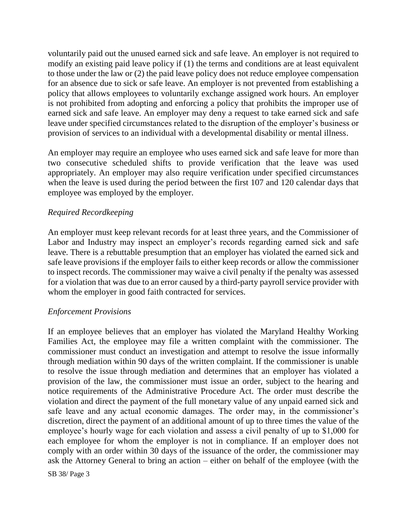voluntarily paid out the unused earned sick and safe leave. An employer is not required to modify an existing paid leave policy if (1) the terms and conditions are at least equivalent to those under the law or (2) the paid leave policy does not reduce employee compensation for an absence due to sick or safe leave. An employer is not prevented from establishing a policy that allows employees to voluntarily exchange assigned work hours. An employer is not prohibited from adopting and enforcing a policy that prohibits the improper use of earned sick and safe leave. An employer may deny a request to take earned sick and safe leave under specified circumstances related to the disruption of the employer's business or provision of services to an individual with a developmental disability or mental illness.

An employer may require an employee who uses earned sick and safe leave for more than two consecutive scheduled shifts to provide verification that the leave was used appropriately. An employer may also require verification under specified circumstances when the leave is used during the period between the first 107 and 120 calendar days that employee was employed by the employer.

### *Required Recordkeeping*

An employer must keep relevant records for at least three years, and the Commissioner of Labor and Industry may inspect an employer's records regarding earned sick and safe leave. There is a rebuttable presumption that an employer has violated the earned sick and safe leave provisions if the employer fails to either keep records or allow the commissioner to inspect records. The commissioner may waive a civil penalty if the penalty was assessed for a violation that was due to an error caused by a third-party payroll service provider with whom the employer in good faith contracted for services.

#### *Enforcement Provisions*

If an employee believes that an employer has violated the Maryland Healthy Working Families Act, the employee may file a written complaint with the commissioner. The commissioner must conduct an investigation and attempt to resolve the issue informally through mediation within 90 days of the written complaint. If the commissioner is unable to resolve the issue through mediation and determines that an employer has violated a provision of the law, the commissioner must issue an order, subject to the hearing and notice requirements of the Administrative Procedure Act. The order must describe the violation and direct the payment of the full monetary value of any unpaid earned sick and safe leave and any actual economic damages. The order may, in the commissioner's discretion, direct the payment of an additional amount of up to three times the value of the employee's hourly wage for each violation and assess a civil penalty of up to \$1,000 for each employee for whom the employer is not in compliance. If an employer does not comply with an order within 30 days of the issuance of the order, the commissioner may ask the Attorney General to bring an action – either on behalf of the employee (with the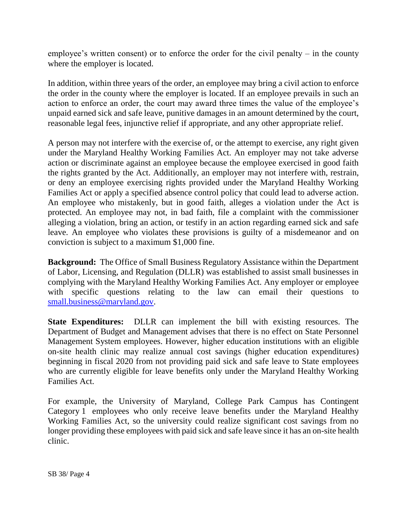employee's written consent) or to enforce the order for the civil penalty – in the county where the employer is located.

In addition, within three years of the order, an employee may bring a civil action to enforce the order in the county where the employer is located. If an employee prevails in such an action to enforce an order, the court may award three times the value of the employee's unpaid earned sick and safe leave, punitive damages in an amount determined by the court, reasonable legal fees, injunctive relief if appropriate, and any other appropriate relief.

A person may not interfere with the exercise of, or the attempt to exercise, any right given under the Maryland Healthy Working Families Act. An employer may not take adverse action or discriminate against an employee because the employee exercised in good faith the rights granted by the Act. Additionally, an employer may not interfere with, restrain, or deny an employee exercising rights provided under the Maryland Healthy Working Families Act or apply a specified absence control policy that could lead to adverse action. An employee who mistakenly, but in good faith, alleges a violation under the Act is protected. An employee may not, in bad faith, file a complaint with the commissioner alleging a violation, bring an action, or testify in an action regarding earned sick and safe leave. An employee who violates these provisions is guilty of a misdemeanor and on conviction is subject to a maximum \$1,000 fine.

**Background:** The Office of Small Business Regulatory Assistance within the Department of Labor, Licensing, and Regulation (DLLR) was established to assist small businesses in complying with the Maryland Healthy Working Families Act. Any employer or employee with specific questions relating to the law can email their questions to [small.business@maryland.gov.](mailto:small.business@maryland.gov)

**State Expenditures:** DLLR can implement the bill with existing resources. The Department of Budget and Management advises that there is no effect on State Personnel Management System employees. However, higher education institutions with an eligible on-site health clinic may realize annual cost savings (higher education expenditures) beginning in fiscal 2020 from not providing paid sick and safe leave to State employees who are currently eligible for leave benefits only under the Maryland Healthy Working Families Act.

For example, the University of Maryland, College Park Campus has Contingent Category 1 employees who only receive leave benefits under the Maryland Healthy Working Families Act, so the university could realize significant cost savings from no longer providing these employees with paid sick and safe leave since it has an on-site health clinic.